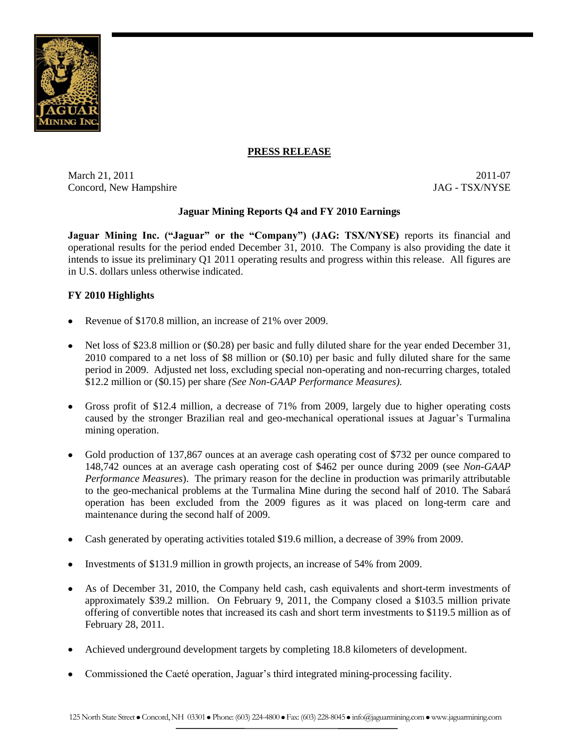

### **PRESS RELEASE**

March 21, 2011 2011 2012 2012 2012 2011 2012 2012 2012 2012 2012 2012 2012 2012 2013 Concord, New Hampshire JAG - TSX/NYSE

## **Jaguar Mining Reports Q4 and FY 2010 Earnings**

**Jaguar Mining Inc. ("Jaguar" or the "Company") (JAG: TSX/NYSE)** reports its financial and operational results for the period ended December 31, 2010. The Company is also providing the date it intends to issue its preliminary Q1 2011 operating results and progress within this release. All figures are in U.S. dollars unless otherwise indicated.

## **FY 2010 Highlights**

- Revenue of \$170.8 million, an increase of 21% over 2009.
- Net loss of \$23.8 million or (\$0.28) per basic and fully diluted share for the year ended December 31, 2010 compared to a net loss of \$8 million or (\$0.10) per basic and fully diluted share for the same period in 2009. Adjusted net loss, excluding special non-operating and non-recurring charges, totaled \$12.2 million or (\$0.15) per share *(See Non-GAAP Performance Measures).*
- Gross profit of \$12.4 million, a decrease of 71% from 2009, largely due to higher operating costs caused by the stronger Brazilian real and geo-mechanical operational issues at Jaguar's Turmalina mining operation.
- Gold production of 137,867 ounces at an average cash operating cost of \$732 per ounce compared to 148,742 ounces at an average cash operating cost of \$462 per ounce during 2009 (see *Non-GAAP Performance Measures*). The primary reason for the decline in production was primarily attributable to the geo-mechanical problems at the Turmalina Mine during the second half of 2010. The Sabará operation has been excluded from the 2009 figures as it was placed on long-term care and maintenance during the second half of 2009.
- Cash generated by operating activities totaled \$19.6 million, a decrease of 39% from 2009.
- Investments of \$131.9 million in growth projects, an increase of 54% from 2009.
- As of December 31, 2010, the Company held cash, cash equivalents and short-term investments of approximately \$39.2 million. On February 9, 2011, the Company closed a \$103.5 million private offering of convertible notes that increased its cash and short term investments to \$119.5 million as of February 28, 2011.
- Achieved underground development targets by completing 18.8 kilometers of development.
- Commissioned the Caeté operation, Jaguar's third integrated mining-processing facility.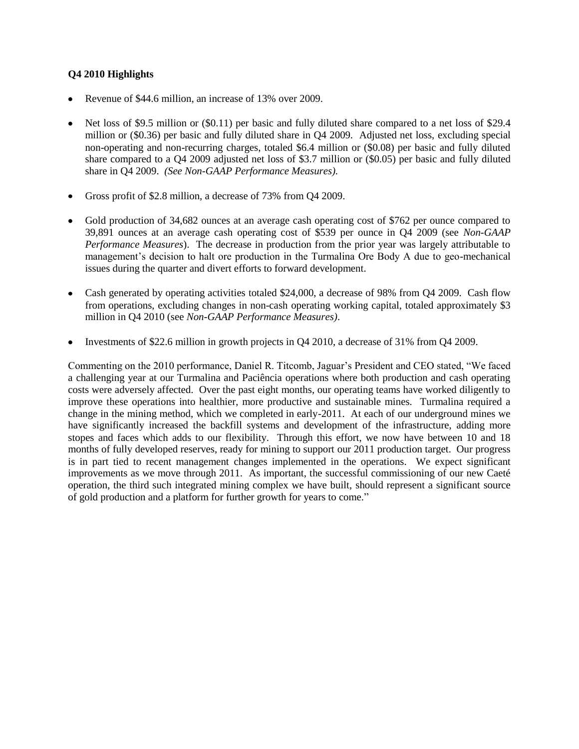## **Q4 2010 Highlights**

- Revenue of \$44.6 million, an increase of 13% over 2009.
- Net loss of \$9.5 million or (\$0.11) per basic and fully diluted share compared to a net loss of \$29.4 million or (\$0.36) per basic and fully diluted share in Q4 2009. Adjusted net loss, excluding special non-operating and non-recurring charges, totaled \$6.4 million or (\$0.08) per basic and fully diluted share compared to a Q4 2009 adjusted net loss of \$3.7 million or (\$0.05) per basic and fully diluted share in Q4 2009. *(See Non-GAAP Performance Measures).*
- Gross profit of \$2.8 million, a decrease of 73% from Q4 2009.  $\bullet$
- Gold production of 34,682 ounces at an average cash operating cost of \$762 per ounce compared to 39,891 ounces at an average cash operating cost of \$539 per ounce in Q4 2009 (see *Non-GAAP Performance Measures*). The decrease in production from the prior year was largely attributable to management's decision to halt ore production in the Turmalina Ore Body A due to geo-mechanical issues during the quarter and divert efforts to forward development.
- Cash generated by operating activities totaled \$24,000, a decrease of 98% from Q4 2009. Cash flow from operations, excluding changes in non-cash operating working capital, totaled approximately \$3 million in Q4 2010 (see *Non-GAAP Performance Measures)*.
- $\bullet$ Investments of \$22.6 million in growth projects in Q4 2010, a decrease of 31% from Q4 2009.

Commenting on the 2010 performance, Daniel R. Titcomb, Jaguar's President and CEO stated, "We faced a challenging year at our Turmalina and Paciência operations where both production and cash operating costs were adversely affected. Over the past eight months, our operating teams have worked diligently to improve these operations into healthier, more productive and sustainable mines. Turmalina required a change in the mining method, which we completed in early-2011. At each of our underground mines we have significantly increased the backfill systems and development of the infrastructure, adding more stopes and faces which adds to our flexibility. Through this effort, we now have between 10 and 18 months of fully developed reserves, ready for mining to support our 2011 production target. Our progress is in part tied to recent management changes implemented in the operations. We expect significant improvements as we move through 2011. As important, the successful commissioning of our new Caeté operation, the third such integrated mining complex we have built, should represent a significant source of gold production and a platform for further growth for years to come."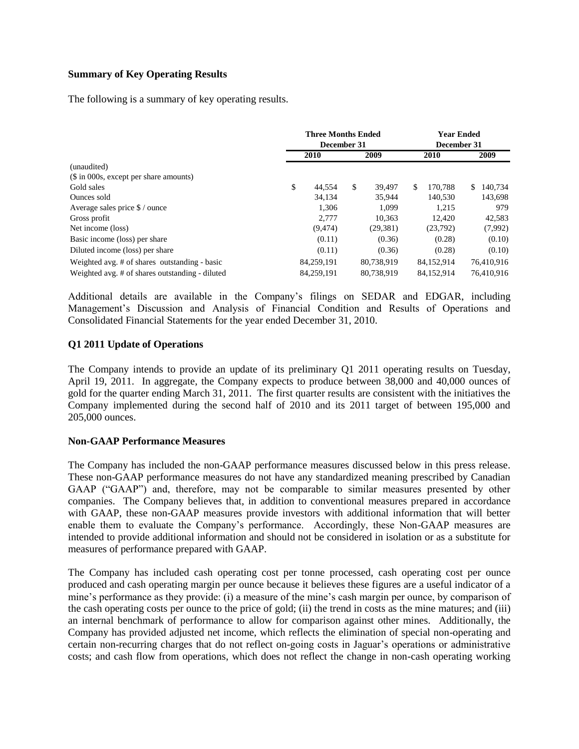### **Summary of Key Operating Results**

The following is a summary of key operating results.

|                                                 | <b>Three Months Ended</b><br>December 31 |            |    | <b>Year Ended</b><br>December 31 |    |             |    |            |
|-------------------------------------------------|------------------------------------------|------------|----|----------------------------------|----|-------------|----|------------|
|                                                 |                                          | 2010       |    | 2009                             |    | <b>2010</b> |    | 2009       |
| (unaudited)                                     |                                          |            |    |                                  |    |             |    |            |
| (\$ in 000s, except per share amounts)          |                                          |            |    |                                  |    |             |    |            |
| Gold sales                                      | \$                                       | 44,554     | \$ | 39.497                           | \$ | 170.788     | S. | 140,734    |
| Ounces sold                                     |                                          | 34.134     |    | 35,944                           |    | 140,530     |    | 143,698    |
| Average sales price \$ / ounce                  |                                          | 1.306      |    | 1.099                            |    | 1.215       |    | 979        |
| Gross profit                                    |                                          | 2.777      |    | 10,363                           |    | 12.420      |    | 42,583     |
| Net income (loss)                               |                                          | (9, 474)   |    | (29, 381)                        |    | (23,792)    |    | (7,992)    |
| Basic income (loss) per share                   |                                          | (0.11)     |    | (0.36)                           |    | (0.28)      |    | (0.10)     |
| Diluted income (loss) per share                 |                                          | (0.11)     |    | (0.36)                           |    | (0.28)      |    | (0.10)     |
| Weighted avg. # of shares outstanding - basic   |                                          | 84,259,191 |    | 80,738,919                       |    | 84,152,914  |    | 76,410,916 |
| Weighted avg. # of shares outstanding - diluted |                                          | 84.259.191 |    | 80,738,919                       |    | 84,152,914  |    | 76.410.916 |

Additional details are available in the Company's filings on SEDAR and EDGAR, including Management's Discussion and Analysis of Financial Condition and Results of Operations and Consolidated Financial Statements for the year ended December 31, 2010.

## **Q1 2011 Update of Operations**

The Company intends to provide an update of its preliminary Q1 2011 operating results on Tuesday, April 19, 2011. In aggregate, the Company expects to produce between 38,000 and 40,000 ounces of gold for the quarter ending March 31, 2011. The first quarter results are consistent with the initiatives the Company implemented during the second half of 2010 and its 2011 target of between 195,000 and 205,000 ounces.

### **Non-GAAP Performance Measures**

The Company has included the non-GAAP performance measures discussed below in this press release. These non-GAAP performance measures do not have any standardized meaning prescribed by Canadian GAAP ("GAAP") and, therefore, may not be comparable to similar measures presented by other companies. The Company believes that, in addition to conventional measures prepared in accordance with GAAP, these non-GAAP measures provide investors with additional information that will better enable them to evaluate the Company's performance. Accordingly, these Non-GAAP measures are intended to provide additional information and should not be considered in isolation or as a substitute for measures of performance prepared with GAAP.

The Company has included cash operating cost per tonne processed, cash operating cost per ounce produced and cash operating margin per ounce because it believes these figures are a useful indicator of a mine's performance as they provide: (i) a measure of the mine's cash margin per ounce, by comparison of the cash operating costs per ounce to the price of gold; (ii) the trend in costs as the mine matures; and (iii) an internal benchmark of performance to allow for comparison against other mines. Additionally, the Company has provided adjusted net income, which reflects the elimination of special non-operating and certain non-recurring charges that do not reflect on-going costs in Jaguar's operations or administrative costs; and cash flow from operations, which does not reflect the change in non-cash operating working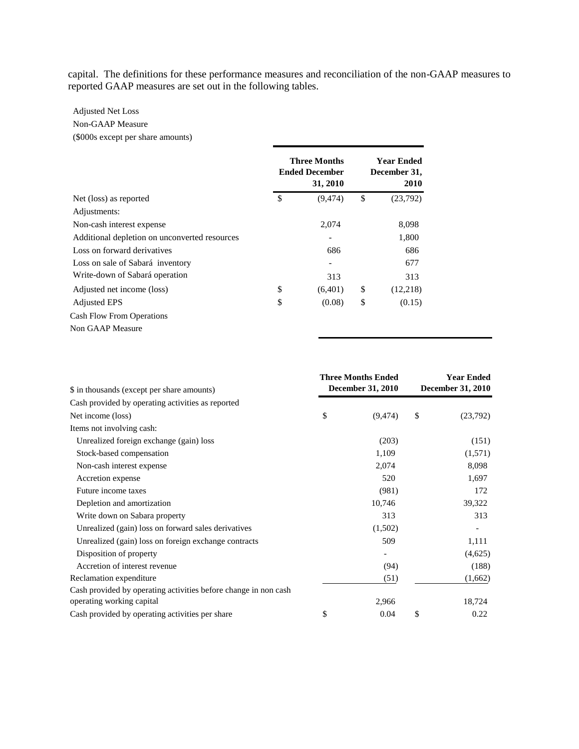capital. The definitions for these performance measures and reconciliation of the non-GAAP measures to reported GAAP measures are set out in the following tables.

## Adjusted Net Loss (\$000s except per share amounts) Non-GAAP Measure

|                                               | <b>Three Months</b><br><b>Ended December</b><br>31, 2010 | <b>Year Ended</b><br>December 31,<br>2010 |
|-----------------------------------------------|----------------------------------------------------------|-------------------------------------------|
| Net (loss) as reported                        | \$<br>(9, 474)                                           | \$<br>(23,792)                            |
| Adjustments:                                  |                                                          |                                           |
| Non-cash interest expense                     | 2,074                                                    | 8,098                                     |
| Additional depletion on unconverted resources | $\overline{\phantom{0}}$                                 | 1,800                                     |
| Loss on forward derivatives                   | 686                                                      | 686                                       |
| Loss on sale of Sabará inventory              | $\overline{\phantom{a}}$                                 | 677                                       |
| Write-down of Sabará operation                | 313                                                      | 313                                       |
| Adjusted net income (loss)                    | \$<br>(6,401)                                            | \$<br>(12,218)                            |
| <b>Adjusted EPS</b>                           | \$<br>(0.08)                                             | \$<br>(0.15)                              |
| <b>Cash Flow From Operations</b>              |                                                          |                                           |
| Non GAAP Measure                              |                                                          |                                           |

|                                                                 | <b>Three Months Ended</b> | <b>Year Ended</b> |                          |  |
|-----------------------------------------------------------------|---------------------------|-------------------|--------------------------|--|
| \$ in thousands (except per share amounts)                      | <b>December 31, 2010</b>  |                   | <b>December 31, 2010</b> |  |
| Cash provided by operating activities as reported               |                           |                   |                          |  |
| Net income (loss)                                               | \$<br>(9, 474)            | \$                | (23,792)                 |  |
| Items not involving cash:                                       |                           |                   |                          |  |
| Unrealized foreign exchange (gain) loss                         | (203)                     |                   | (151)                    |  |
| Stock-based compensation                                        | 1,109                     |                   | (1,571)                  |  |
| Non-cash interest expense                                       | 2,074                     |                   | 8,098                    |  |
| Accretion expense                                               | 520                       |                   | 1,697                    |  |
| Future income taxes                                             | (981)                     |                   | 172                      |  |
| Depletion and amortization                                      | 10,746                    |                   | 39,322                   |  |
| Write down on Sabara property                                   | 313                       |                   | 313                      |  |
| Unrealized (gain) loss on forward sales derivatives             | (1,502)                   |                   |                          |  |
| Unrealized (gain) loss on foreign exchange contracts            | 509                       |                   | 1,111                    |  |
| Disposition of property                                         |                           |                   | (4,625)                  |  |
| Accretion of interest revenue                                   | (94)                      |                   | (188)                    |  |
| Reclamation expenditure                                         | (51)                      |                   | (1,662)                  |  |
| Cash provided by operating activities before change in non cash |                           |                   |                          |  |
| operating working capital                                       | 2,966                     |                   | 18,724                   |  |
| Cash provided by operating activities per share                 | \$<br>0.04                | \$                | 0.22                     |  |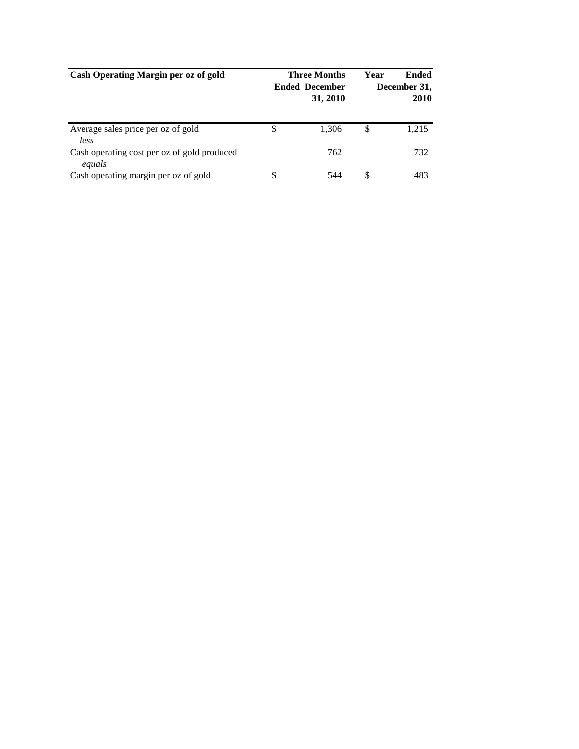| Cash Operating Margin per oz of gold                  | <b>Three Months</b><br><b>Ended December</b><br>31, 2010 | Year | Ended<br>December 31,<br><b>2010</b> |
|-------------------------------------------------------|----------------------------------------------------------|------|--------------------------------------|
| Average sales price per oz of gold<br>less            | \$<br>1.306                                              | \$   | 1,215                                |
| Cash operating cost per oz of gold produced<br>equals | 762                                                      |      | 732                                  |
| Cash operating margin per oz of gold                  | \$<br>544                                                | S    | 483                                  |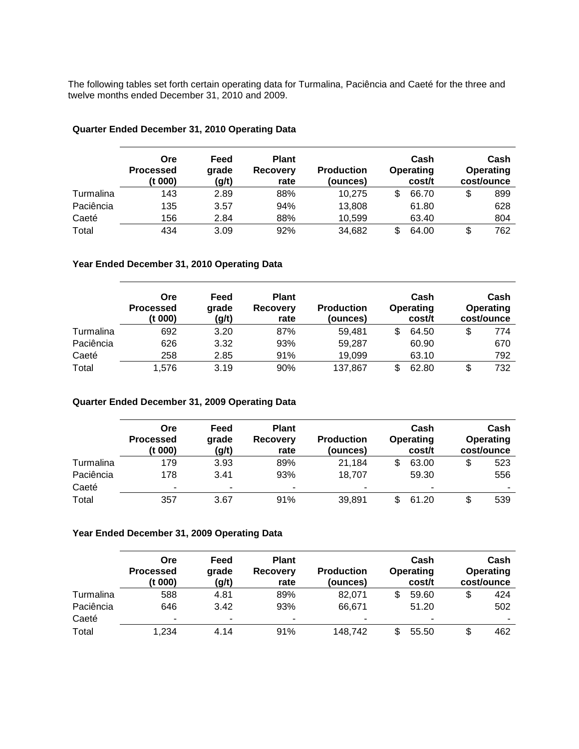The following tables set forth certain operating data for Turmalina, Paciência and Caeté for the three and twelve months ended December 31, 2010 and 2009.

|           | <b>Ore</b><br><b>Processed</b><br>(t 000) | Feed<br>grade<br>(g/t) | <b>Plant</b><br><b>Recovery</b><br>rate | <b>Production</b><br>(ounces) |   | Cash<br>Operating<br>cost/t | Cash<br><b>Operating</b><br>cost/ounce |
|-----------|-------------------------------------------|------------------------|-----------------------------------------|-------------------------------|---|-----------------------------|----------------------------------------|
| Turmalina | 143                                       | 2.89                   | 88%                                     | 10.275                        | S | 66.70                       | \$<br>899                              |
| Paciência | 135                                       | 3.57                   | 94%                                     | 13,808                        |   | 61.80                       | 628                                    |
| Caeté     | 156                                       | 2.84                   | 88%                                     | 10,599                        |   | 63.40                       | 804                                    |
| Total     | 434                                       | 3.09                   | 92%                                     | 34,682                        |   | 64.00                       | \$<br>762                              |

#### **Quarter Ended December 31, 2010 Operating Data**

#### **Year Ended December 31, 2010 Operating Data**

|           | Ore<br><b>Processed</b><br>(t 000) | Feed<br>grade<br>(g/t) | <b>Plant</b><br><b>Recovery</b><br>rate | <b>Production</b><br>(ounces) | Cash<br>Operating<br>cost/t | Cash<br>Operating<br>cost/ounce |
|-----------|------------------------------------|------------------------|-----------------------------------------|-------------------------------|-----------------------------|---------------------------------|
| Turmalina | 692                                | 3.20                   | 87%                                     | 59.481                        | 64.50                       | 774                             |
| Paciência | 626                                | 3.32                   | 93%                                     | 59.287                        | 60.90                       | 670                             |
| Caeté     | 258                                | 2.85                   | 91%                                     | 19,099                        | 63.10                       | 792                             |
| Total     | 1.576                              | 3.19                   | 90%                                     | 137,867                       | 62.80                       | 732                             |

#### **Quarter Ended December 31, 2009 Operating Data**

|           | Ore<br><b>Processed</b><br>(t 000) | Feed<br>grade<br>(g/t)   | <b>Plant</b><br><b>Recovery</b><br>rate | <b>Production</b><br>(ounces) |     | Cash<br>Operating<br>cost/t | Cash<br>Operating<br>cost/ounce |
|-----------|------------------------------------|--------------------------|-----------------------------------------|-------------------------------|-----|-----------------------------|---------------------------------|
| Turmalina | 179                                | 3.93                     | 89%                                     | 21.184                        | \$  | 63.00                       | \$<br>523                       |
| Paciência | 178                                | 3.41                     | 93%                                     | 18,707                        |     | 59.30                       | 556                             |
| Caeté     | ۰                                  | $\overline{\phantom{0}}$ | ٠                                       | ۰                             |     | $\overline{\phantom{a}}$    |                                 |
| Total     | 357                                | 3.67                     | 91%                                     | 39.891                        | \$. | 61.20                       | \$<br>539                       |

#### **Year Ended December 31, 2009 Operating Data**

|           | Ore<br><b>Processed</b><br>(t 000) | Feed<br>grade<br>(g/t) | <b>Plant</b><br><b>Recovery</b><br>rate | <b>Production</b><br>(ounces) | Cash<br>Operating<br>cost/t | Cash<br><b>Operating</b><br>cost/ounce |
|-----------|------------------------------------|------------------------|-----------------------------------------|-------------------------------|-----------------------------|----------------------------------------|
| Turmalina | 588                                | 4.81                   | 89%                                     | 82.071                        | 59.60                       | 424                                    |
| Paciência | 646                                | 3.42                   | 93%                                     | 66.671                        | 51.20                       | 502                                    |
| Caeté     | $\overline{\phantom{a}}$           | ٠                      | ۰                                       | ٠                             | $\overline{\phantom{a}}$    | $\overline{\phantom{a}}$               |
| Total     | 1.234                              | 4.14                   | 91%                                     | 148.742                       | 55.50                       | 462                                    |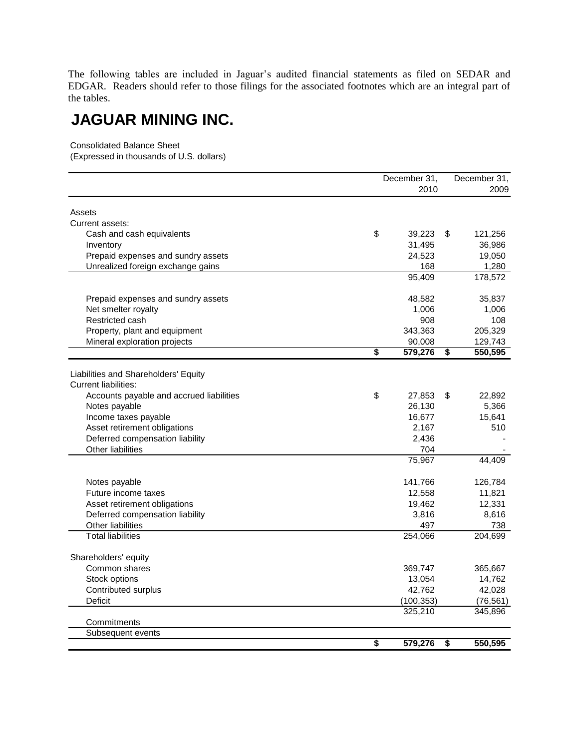The following tables are included in Jaguar's audited financial statements as filed on SEDAR and EDGAR. Readers should refer to those filings for the associated footnotes which are an integral part of the tables.

## **JAGUAR MINING INC.**

Consolidated Balance Sheet

(Expressed in thousands of U.S. dollars)

|                                          | December 31,                         |            |                                      | December 31, |
|------------------------------------------|--------------------------------------|------------|--------------------------------------|--------------|
|                                          |                                      | 2010       |                                      | 2009         |
| Assets                                   |                                      |            |                                      |              |
| Current assets:                          |                                      |            |                                      |              |
| Cash and cash equivalents                | \$                                   | 39,223     | \$                                   | 121,256      |
| Inventory                                |                                      | 31,495     |                                      | 36,986       |
| Prepaid expenses and sundry assets       |                                      | 24,523     |                                      | 19,050       |
| Unrealized foreign exchange gains        |                                      | 168        |                                      | 1,280        |
|                                          |                                      | 95,409     |                                      | 178,572      |
|                                          |                                      |            |                                      |              |
| Prepaid expenses and sundry assets       |                                      | 48,582     |                                      | 35,837       |
| Net smelter royalty                      |                                      | 1,006      |                                      | 1,006        |
| Restricted cash                          |                                      | 908        |                                      | 108          |
| Property, plant and equipment            |                                      | 343,363    |                                      | 205,329      |
| Mineral exploration projects             |                                      | 90,008     |                                      | 129,743      |
|                                          | $\overline{\boldsymbol{\mathsf{s}}}$ | 579,276    | $\overline{\boldsymbol{\mathsf{s}}}$ | 550,595      |
|                                          |                                      |            |                                      |              |
| Liabilities and Shareholders' Equity     |                                      |            |                                      |              |
| <b>Current liabilities:</b>              |                                      |            |                                      |              |
| Accounts payable and accrued liabilities | \$                                   | 27,853     | \$                                   | 22,892       |
| Notes payable                            |                                      | 26,130     |                                      | 5,366        |
| Income taxes payable                     |                                      | 16,677     |                                      | 15,641       |
| Asset retirement obligations             |                                      | 2,167      |                                      | 510          |
| Deferred compensation liability          |                                      | 2,436      |                                      |              |
| <b>Other liabilities</b>                 |                                      | 704        |                                      |              |
|                                          |                                      | 75,967     |                                      | 44,409       |
|                                          |                                      |            |                                      |              |
| Notes payable                            |                                      | 141,766    |                                      | 126,784      |
| Future income taxes                      |                                      | 12,558     |                                      | 11,821       |
| Asset retirement obligations             |                                      | 19,462     |                                      | 12,331       |
| Deferred compensation liability          |                                      | 3,816      |                                      | 8,616        |
| <b>Other liabilities</b>                 |                                      | 497        |                                      | 738          |
| <b>Total liabilities</b>                 |                                      | 254,066    |                                      | 204,699      |
|                                          |                                      |            |                                      |              |
| Shareholders' equity                     |                                      |            |                                      |              |
| Common shares                            |                                      | 369,747    |                                      | 365,667      |
| Stock options                            |                                      | 13,054     |                                      | 14,762       |
| Contributed surplus                      |                                      | 42,762     |                                      | 42,028       |
| <b>Deficit</b>                           |                                      | (100, 353) |                                      | (76, 561)    |
|                                          |                                      | 325,210    |                                      | 345,896      |
| Commitments                              |                                      |            |                                      |              |
| Subsequent events                        |                                      |            |                                      |              |
|                                          | $\overline{\boldsymbol{\mathsf{s}}}$ | 579,276    | \$                                   | 550,595      |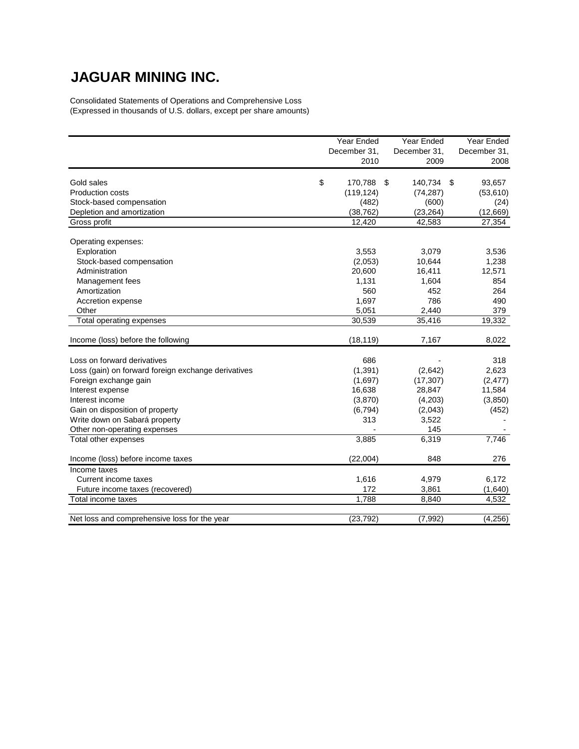# **JAGUAR MINING INC.**

Consolidated Statements of Operations and Comprehensive Loss (Expressed in thousands of U.S. dollars, except per share amounts)

|                                                     | Year Ended<br>December 31,<br>2010 |     | Year Ended<br>December 31,<br>2009 |     | Year Ended<br>December 31,<br>2008 |
|-----------------------------------------------------|------------------------------------|-----|------------------------------------|-----|------------------------------------|
|                                                     |                                    |     |                                    |     |                                    |
| Gold sales                                          | \$<br>170,788                      | -\$ | 140,734                            | -\$ | 93,657                             |
| Production costs                                    | (119, 124)                         |     | (74, 287)                          |     | (53, 610)                          |
| Stock-based compensation                            | (482)                              |     | (600)                              |     | (24)                               |
| Depletion and amortization                          | (38, 762)                          |     | (23, 264)                          |     | (12,669)                           |
| Gross profit                                        | 12,420                             |     | 42,583                             |     | 27,354                             |
| Operating expenses:                                 |                                    |     |                                    |     |                                    |
| Exploration                                         | 3,553                              |     | 3,079                              |     | 3,536                              |
| Stock-based compensation                            | (2,053)                            |     | 10,644                             |     | 1,238                              |
| Administration                                      | 20,600                             |     | 16,411                             |     | 12,571                             |
| Management fees                                     | 1,131                              |     | 1,604                              |     | 854                                |
| Amortization                                        | 560                                |     | 452                                |     | 264                                |
| Accretion expense                                   | 1,697                              |     | 786                                |     | 490                                |
| Other                                               | 5,051                              |     | 2,440                              |     | 379                                |
| Total operating expenses                            | 30,539                             |     | 35,416                             |     | 19,332                             |
| Income (loss) before the following                  | (18, 119)                          |     | 7,167                              |     | 8,022                              |
| Loss on forward derivatives                         | 686                                |     |                                    |     | 318                                |
| Loss (gain) on forward foreign exchange derivatives | (1, 391)                           |     | (2,642)                            |     | 2,623                              |
| Foreign exchange gain                               | (1,697)                            |     | (17, 307)                          |     | (2, 477)                           |
| Interest expense                                    | 16,638                             |     | 28,847                             |     | 11,584                             |
| Interest income                                     | (3,870)                            |     | (4,203)                            |     | (3,850)                            |
| Gain on disposition of property                     | (6, 794)                           |     | (2,043)                            |     | (452)                              |
| Write down on Sabará property                       | 313                                |     | 3,522                              |     |                                    |
| Other non-operating expenses                        |                                    |     | 145                                |     |                                    |
| Total other expenses                                | 3,885                              |     | 6,319                              |     | 7,746                              |
| Income (loss) before income taxes                   | (22,004)                           |     | 848                                |     | 276                                |
| Income taxes                                        |                                    |     |                                    |     |                                    |
| Current income taxes                                | 1,616                              |     | 4,979                              |     | 6,172                              |
| Future income taxes (recovered)                     | 172                                |     | 3,861                              |     | (1,640)                            |
| Total income taxes                                  | 1,788                              |     | 8,840                              |     | 4,532                              |
| Net loss and comprehensive loss for the year        | (23, 792)                          |     | (7, 992)                           |     | (4,256)                            |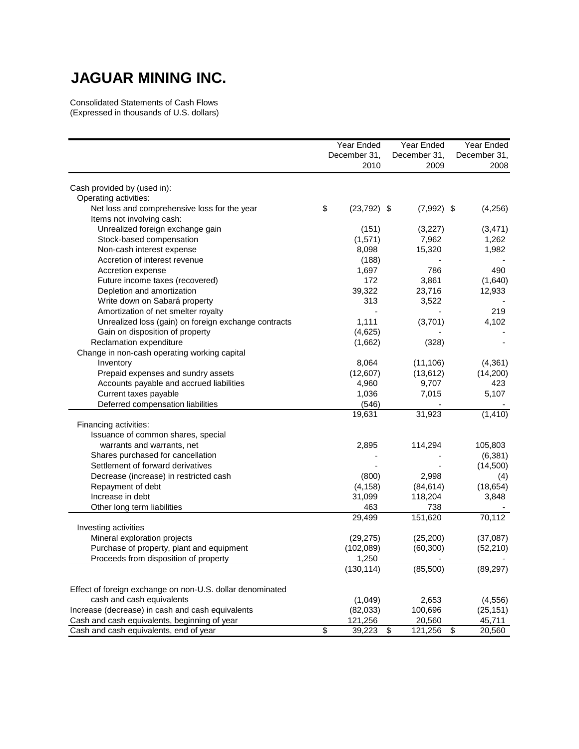## **JAGUAR MINING INC.**

Consolidated Statements of Cash Flows (Expressed in thousands of U.S. dollars)

|                                                           | Year Ended           | Year Ended    | Year Ended     |  |
|-----------------------------------------------------------|----------------------|---------------|----------------|--|
|                                                           | December 31,         | December 31,  | December 31,   |  |
|                                                           | 2010                 | 2009          | 2008           |  |
| Cash provided by (used in):                               |                      |               |                |  |
| Operating activities:                                     |                      |               |                |  |
| Net loss and comprehensive loss for the year              | \$<br>$(23, 792)$ \$ | $(7,992)$ \$  | (4, 256)       |  |
| Items not involving cash:                                 |                      |               |                |  |
| Unrealized foreign exchange gain                          | (151)                | (3,227)       | (3, 471)       |  |
| Stock-based compensation                                  | (1,571)              | 7,962         | 1,262          |  |
| Non-cash interest expense                                 | 8,098                | 15,320        | 1,982          |  |
| Accretion of interest revenue                             | (188)                |               |                |  |
|                                                           | 1,697                | 786           | 490            |  |
| Accretion expense                                         | 172                  |               |                |  |
| Future income taxes (recovered)                           |                      | 3,861         | (1,640)        |  |
| Depletion and amortization                                | 39,322               | 23,716        | 12,933         |  |
| Write down on Sabará property                             | 313                  | 3,522         |                |  |
| Amortization of net smelter royalty                       |                      |               | 219            |  |
| Unrealized loss (gain) on foreign exchange contracts      | 1,111                | (3,701)       | 4,102          |  |
| Gain on disposition of property                           | (4,625)              |               |                |  |
| Reclamation expenditure                                   | (1,662)              | (328)         |                |  |
| Change in non-cash operating working capital              |                      |               |                |  |
| Inventory                                                 | 8,064                | (11, 106)     | (4, 361)       |  |
| Prepaid expenses and sundry assets                        | (12,607)             | (13, 612)     | (14,200)       |  |
| Accounts payable and accrued liabilities                  | 4,960                | 9,707         | 423            |  |
| Current taxes payable                                     | 1,036                | 7,015         | 5,107          |  |
| Deferred compensation liabilities                         | (546)                |               |                |  |
|                                                           | 19,631               | 31,923        | (1, 410)       |  |
| Financing activities:                                     |                      |               |                |  |
| Issuance of common shares, special                        |                      |               |                |  |
| warrants and warrants, net                                | 2,895                | 114,294       | 105,803        |  |
| Shares purchased for cancellation                         |                      |               | (6, 381)       |  |
| Settlement of forward derivatives                         |                      |               | (14,500)       |  |
| Decrease (increase) in restricted cash                    | (800)                | 2,998         | (4)            |  |
| Repayment of debt                                         | (4, 158)             | (84, 614)     | (18, 654)      |  |
| Increase in debt                                          | 31,099               | 118,204       | 3,848          |  |
| Other long term liabilities                               | 463                  | 738           |                |  |
|                                                           | 29,499               | 151,620       | 70,112         |  |
| Investing activities                                      |                      |               |                |  |
| Mineral exploration projects                              | (29, 275)            | (25, 200)     | (37,087)       |  |
| Purchase of property, plant and equipment                 | (102, 089)           | (60, 300)     | (52, 210)      |  |
| Proceeds from disposition of property                     | 1,250                |               |                |  |
|                                                           | (130, 114)           | (85,500)      | (89, 297)      |  |
| Effect of foreign exchange on non-U.S. dollar denominated |                      |               |                |  |
| cash and cash equivalents                                 | (1,049)              | 2,653         | (4, 556)       |  |
| Increase (decrease) in cash and cash equivalents          | (82,033)             | 100,696       | (25, 151)      |  |
| Cash and cash equivalents, beginning of year              | 121,256              | 20,560        | 45,711         |  |
| Cash and cash equivalents, end of year                    | \$<br>39,223         | 121,256<br>\$ | 20,560<br>- \$ |  |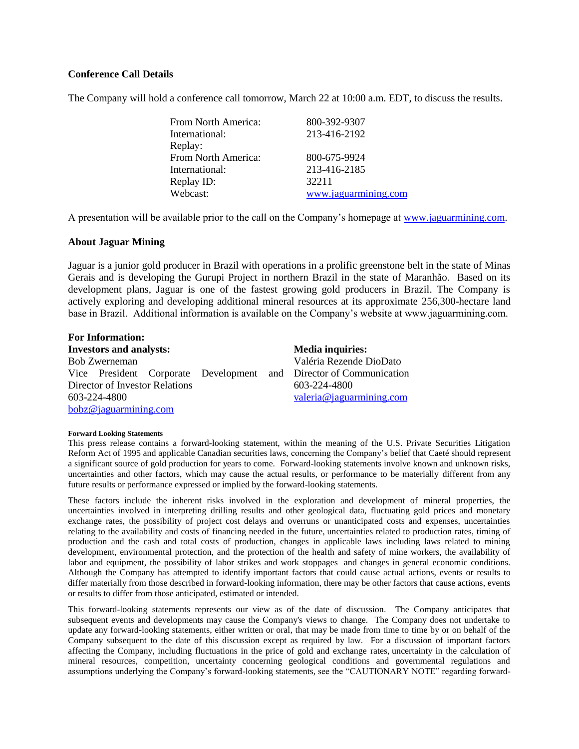#### **Conference Call Details**

The Company will hold a conference call tomorrow, March 22 at 10:00 a.m. EDT, to discuss the results.

| From North America: | 800-392-9307         |
|---------------------|----------------------|
| International:      | 213-416-2192         |
| Replay:             |                      |
| From North America: | 800-675-9924         |
| International:      | 213-416-2185         |
| Replay ID:          | 32211                |
| Webcast:            | www.jaguarmining.com |
|                     |                      |

A presentation will be available prior to the call on the Company's homepage at [www.jaguarmining.com.](http://www.jaguarmining.com/)

#### **About Jaguar Mining**

Jaguar is a junior gold producer in Brazil with operations in a prolific greenstone belt in the state of Minas Gerais and is developing the Gurupi Project in northern Brazil in the state of Maranhão. Based on its development plans, Jaguar is one of the fastest growing gold producers in Brazil. The Company is actively exploring and developing additional mineral resources at its approximate 256,300-hectare land base in Brazil. Additional information is available on the Company's website at www.jaguarmining.com.

| <b>For Information:</b>        |  |  |  |  |                                                                    |
|--------------------------------|--|--|--|--|--------------------------------------------------------------------|
| <b>Investors and analysts:</b> |  |  |  |  | <b>Media inquiries:</b>                                            |
| <b>Bob Zwerneman</b>           |  |  |  |  | Valéria Rezende DioDato                                            |
|                                |  |  |  |  | Vice President Corporate Development and Director of Communication |
| Director of Investor Relations |  |  |  |  | 603-224-4800                                                       |
| 603-224-4800                   |  |  |  |  | valeria@jaguarmining.com                                           |
| bobz@jaguarmining.com          |  |  |  |  |                                                                    |

#### **Forward Looking Statements**

This press release contains a forward-looking statement, within the meaning of the U.S. Private Securities Litigation Reform Act of 1995 and applicable Canadian securities laws, concerning the Company's belief that Caeté should represent a significant source of gold production for years to come. Forward-looking statements involve known and unknown risks, uncertainties and other factors, which may cause the actual results, or performance to be materially different from any future results or performance expressed or implied by the forward-looking statements.

These factors include the inherent risks involved in the exploration and development of mineral properties, the uncertainties involved in interpreting drilling results and other geological data, fluctuating gold prices and monetary exchange rates, the possibility of project cost delays and overruns or unanticipated costs and expenses, uncertainties relating to the availability and costs of financing needed in the future, uncertainties related to production rates, timing of production and the cash and total costs of production, changes in applicable laws including laws related to mining development, environmental protection, and the protection of the health and safety of mine workers, the availability of labor and equipment, the possibility of labor strikes and work stoppages and changes in general economic conditions. Although the Company has attempted to identify important factors that could cause actual actions, events or results to differ materially from those described in forward-looking information, there may be other factors that cause actions, events or results to differ from those anticipated, estimated or intended.

This forward-looking statements represents our view as of the date of discussion. The Company anticipates that subsequent events and developments may cause the Company's views to change. The Company does not undertake to update any forward-looking statements, either written or oral, that may be made from time to time by or on behalf of the Company subsequent to the date of this discussion except as required by law. For a discussion of important factors affecting the Company, including fluctuations in the price of gold and exchange rates, uncertainty in the calculation of mineral resources, competition, uncertainty concerning geological conditions and governmental regulations and assumptions underlying the Company's forward-looking statements, see the "CAUTIONARY NOTE" regarding forward